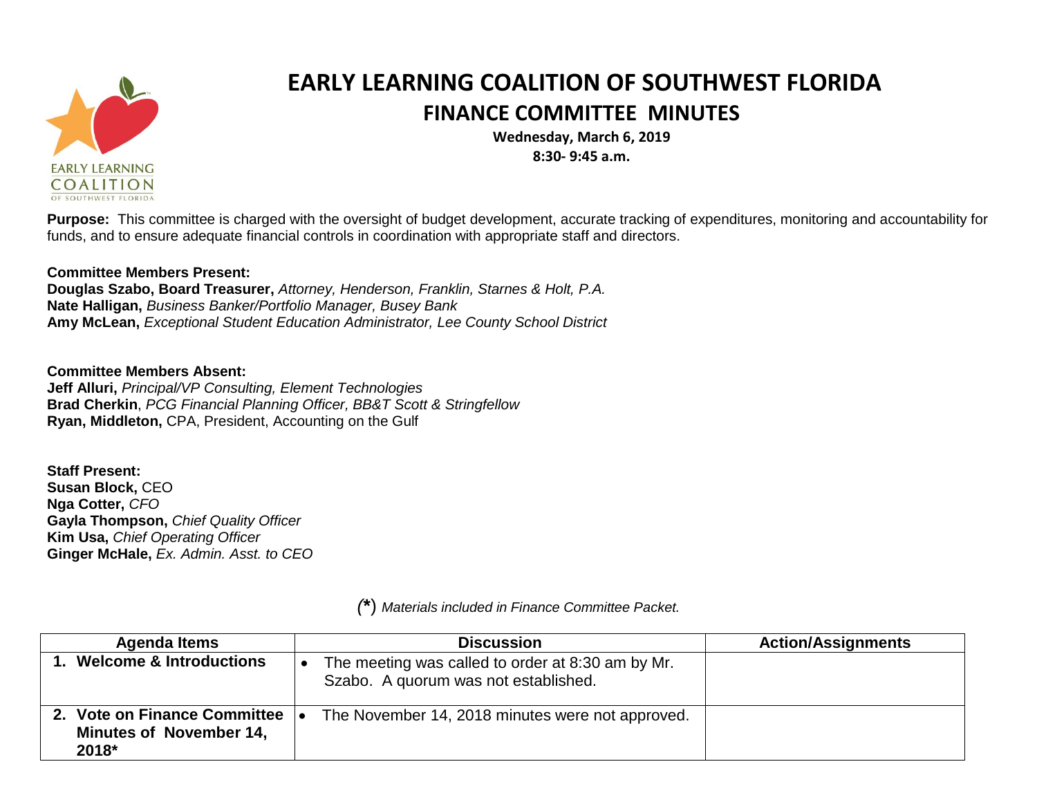

## **EARLY LEARNING COALITION OF SOUTHWEST FLORIDA FINANCE COMMITTEE MINUTES**

**Wednesday, March 6, 2019 8:30- 9:45 a.m.**

**Purpose:** This committee is charged with the oversight of budget development, accurate tracking of expenditures, monitoring and accountability for funds, and to ensure adequate financial controls in coordination with appropriate staff and directors.

## **Committee Members Present:**

**Douglas Szabo, Board Treasurer,** *Attorney, Henderson, Franklin, Starnes & Holt, P.A.* **Nate Halligan,** *Business Banker/Portfolio Manager, Busey Bank* **Amy McLean,** *Exceptional Student Education Administrator, Lee County School District*

**Committee Members Absent: Jeff Alluri,** *Principal/VP Consulting, Element Technologies* **Brad Cherkin**, *PCG Financial Planning Officer, BB&T Scott & Stringfellow* **Ryan, Middleton,** CPA, President, Accounting on the Gulf

**Staff Present: Susan Block,** CEO **Nga Cotter,** *CFO* **Gayla Thompson,** *Chief Quality Officer* **Kim Usa,** *Chief Operating Officer* **Ginger McHale,** *Ex. Admin. Asst. to CEO*

| <b>Agenda Items</b>                                                        | <b>Discussion</b>                                                                         | <b>Action/Assignments</b> |
|----------------------------------------------------------------------------|-------------------------------------------------------------------------------------------|---------------------------|
| 1. Welcome & Introductions                                                 | The meeting was called to order at 8:30 am by Mr.<br>Szabo. A quorum was not established. |                           |
| 2. Vote on Finance Committee  .<br><b>Minutes of November 14,</b><br>2018* | The November 14, 2018 minutes were not approved.                                          |                           |

*(***\***) *Materials included in Finance Committee Packet.*